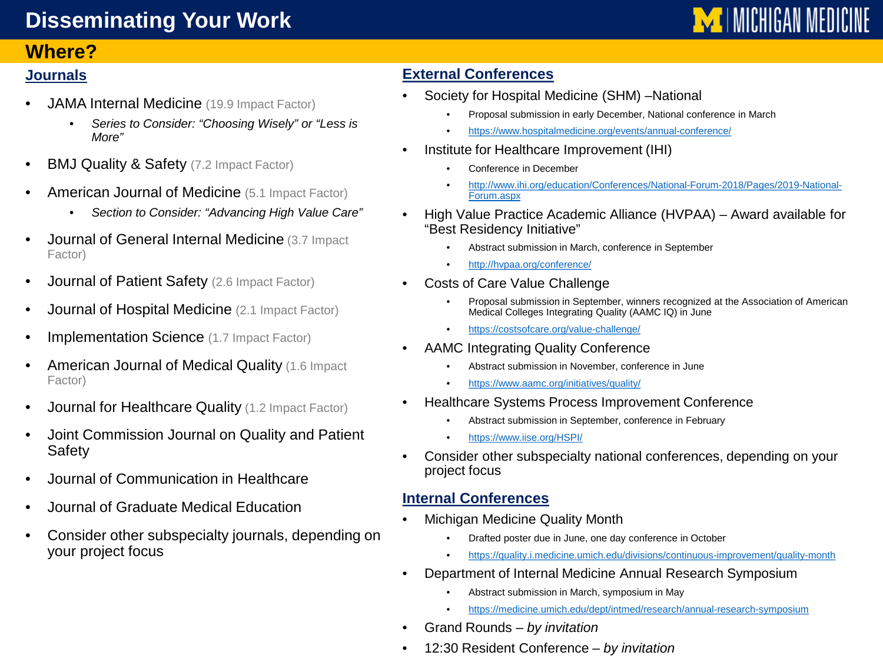# **Disseminating Your Work**

## **Where?**

#### **Journals**

- JAMA Internal Medicine (19.9 Impact Factor)
	- *Series to Consider: "Choosing Wisely" or "Less is More"*
- **BMJ Quality & Safety** (7.2 Impact Factor)
- American Journal of Medicine (5.1 Impact Factor)
	- *Section to Consider: "Advancing High Value Care"*
- Journal of General Internal Medicine (3.7 Impact Factor)
- Journal of Patient Safety (2.6 Impact Factor)
- **Journal of Hospital Medicine** (2.1 Impact Factor)
- Implementation Science (1.7 Impact Factor)
- American Journal of Medical Quality (1.6 Impact) Factor)
- **Journal for Healthcare Quality (1.2 Impact Factor)**
- Joint Commission Journal on Quality and Patient **Safety**
- Journal of Communication in Healthcare
- Journal of Graduate Medical Education
- Consider other subspecialty journals, depending on your project focus

#### **External Conferences**

- Society for Hospital Medicine (SHM) –National
	- Proposal submission in early December, National conference in March
	- <https://www.hospitalmedicine.org/events/annual-conference/>
- Institute for Healthcare Improvement (IHI)
	- Conference in December
	- [http://www.ihi.org/education/Conferences/National-Forum-2018/Pages/2019-National-](http://www.ihi.org/education/Conferences/National-Forum-2018/Pages/2019-National-Forum.aspx)Forum.aspx
- High Value Practice Academic Alliance (HVPAA) Award available for "Best Residency Initiative"
	- Abstract submission in March, conference in September
	- <http://hvpaa.org/conference/>
- Costs of Care Value Challenge
	- Proposal submission in September, winners recognized at the Association of American Medical Colleges Integrating Quality (AAMC IQ) in June
	- <https://costsofcare.org/value-challenge/>
- AAMC Integrating Quality Conference
	- Abstract submission in November, conference in June
	- <https://www.aamc.org/initiatives/quality/>
- Healthcare Systems Process Improvement Conference
	- Abstract submission in September, conference in February
	- <https://www.iise.org/HSPI/>
- Consider other subspecialty national conferences, depending on your project focus

#### **Internal Conferences**

- Michigan Medicine Quality Month
	- Drafted poster due in June, one day conference in October
	- <https://quality.i.medicine.umich.edu/divisions/continuous-improvement/quality-month>
- Department of Internal Medicine Annual Research Symposium
	- Abstract submission in March, symposium in May
	- <https://medicine.umich.edu/dept/intmed/research/annual-research-symposium>
- Grand Rounds *by invitation*
- 12:30 Resident Conference *by invitation*